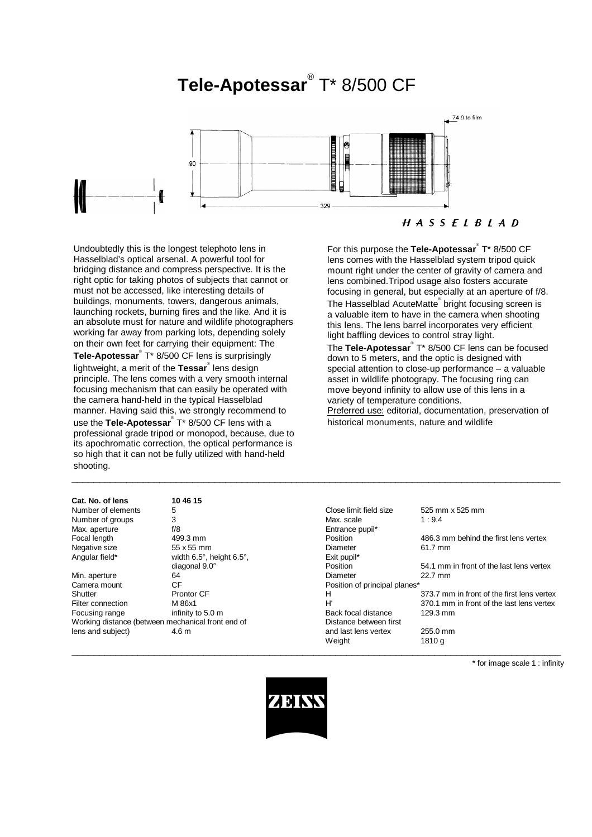# **Tele-Apotessar**® T\* 8/500 CF



Undoubtedly this is the longest telephoto lens in Hasselblad's optical arsenal. A powerful tool for bridging distance and compress perspective. It is the right optic for taking photos of subjects that cannot or must not be accessed, like interesting details of buildings, monuments, towers, dangerous animals, launching rockets, burning fires and the like. And it is an absolute must for nature and wildlife photographers working far away from parking lots, depending solely on their own feet for carrying their equipment: The

**Tele-Apotessar**® T\* 8/500 CF lens is surprisingly lightweight, a merit of the **Tessar**® lens design principle. The lens comes with a very smooth internal focusing mechanism that can easily be operated with the camera hand-held in the typical Hasselblad manner. Having said this, we strongly recommend to use the **Tele-Apotessar**® T\* 8/500 CF lens with a professional grade tripod or monopod, because, due to its apochromatic correction, the optical performance is so high that it can not be fully utilized with hand-held shooting.

| so high that it can not be fully utilized with hand-held<br>shooting.<br>Cat. No. of lens<br>10 46 15                                                                                       |                                                          |  |  |
|---------------------------------------------------------------------------------------------------------------------------------------------------------------------------------------------|----------------------------------------------------------|--|--|
| use the Tele-Apotessar <sup>®</sup> T <sup>*</sup> 8/500 CF lens with a<br>professional grade tripod or monopod, because, due to<br>its apochromatic correction, the optical performance is | historical monuments, nature and wildlife                |  |  |
| manner. Having said this, we strongly recommend to                                                                                                                                          | Preferred use: editorial, documentation, preservation of |  |  |
|                                                                                                                                                                                             |                                                          |  |  |

# $H A S S E L B L A D$

For this purpose the **Tele-Apotessar**® T\* 8/500 CF lens comes with the Hasselblad system tripod quick mount right under the center of gravity of camera and lens combined.Tripod usage also fosters accurate focusing in general, but especially at an aperture of f/8. The Hasselblad AcuteMatte® bright focusing screen is

a valuable item to have in the camera when shooting this lens. The lens barrel incorporates very efficient light baffling devices to control stray light.

The Tele-Apotessar<sup>®</sup> T<sup>\*</sup> 8/500 CF lens can be focused down to 5 meters, and the optic is designed with special attention to close-up performance – a valuable asset in wildlife photograpy. The focusing ring can move beyond infinity to allow use of this lens in a variety of temperature conditions. Preferred use: editorial, documentation, preservation of

| Cat. No. of lens   | 10 46 15                                          |                               |                                            |
|--------------------|---------------------------------------------------|-------------------------------|--------------------------------------------|
| Number of elements | 5                                                 | Close limit field size        | 525 mm x 525 mm                            |
| Number of groups   | 3                                                 | Max. scale                    | 1:9.4                                      |
| Max. aperture      | f/8                                               | Entrance pupil*               |                                            |
| Focal length       | 499.3 mm                                          | Position                      | 486.3 mm behind the first lens vertex      |
| Negative size      | 55 x 55 mm                                        | Diameter                      | 61.7 mm                                    |
| Angular field*     | width 6.5°, height 6.5°,                          | Exit pupil*                   |                                            |
|                    | diagonal 9.0°                                     | Position                      | 54.1 mm in front of the last lens vertex   |
| Min. aperture      | 64                                                | Diameter                      | 22.7 mm                                    |
| Camera mount       | CF                                                | Position of principal planes* |                                            |
| Shutter            | <b>Prontor CF</b>                                 | н                             | 373.7 mm in front of the first lens vertex |
| Filter connection  | M 86x1                                            | H'                            | 370.1 mm in front of the last lens vertex  |
| Focusing range     | infinity to 5.0 m                                 | Back focal distance           | $129.3 \text{ mm}$                         |
|                    | Working distance (between mechanical front end of | Distance between first        |                                            |
| lens and subject)  | 4.6 m                                             | and last lens vertex          | 255.0 mm                                   |
|                    |                                                   | Weight                        | 1810 g                                     |

\* for image scale 1 : infinity



 $\_$  , and the set of the set of the set of the set of the set of the set of the set of the set of the set of the set of the set of the set of the set of the set of the set of the set of the set of the set of the set of th